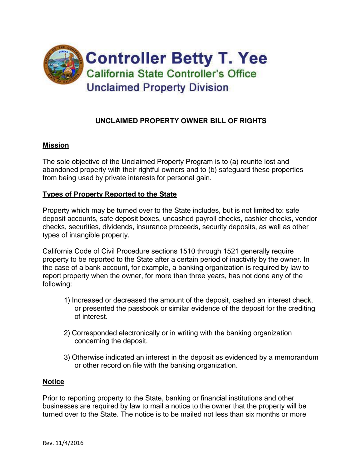

# **UNCLAIMED PROPERTY OWNER BILL OF RIGHTS**

### **Mission**

The sole objective of the Unclaimed Property Program is to (a) reunite lost and abandoned property with their rightful owners and to (b) safeguard these properties from being used by private interests for personal gain.

### **Types of Property Reported to the State**

Property which may be turned over to the State includes, but is not limited to: safe deposit accounts, safe deposit boxes, uncashed payroll checks, cashier checks, vendor checks, securities, dividends, insurance proceeds, security deposits, as well as other types of intangible property.

California Code of Civil Procedure sections 1510 through 1521 generally require property to be reported to the State after a certain period of inactivity by the owner. In the case of a bank account, for example, a banking organization is required by law to report property when the owner, for more than three years, has not done any of the following:

- 1) Increased or decreased the amount of the deposit, cashed an interest check, or presented the passbook or similar evidence of the deposit for the crediting of interest.
- 2) Corresponded electronically or in writing with the banking organization concerning the deposit.
- 3) Otherwise indicated an interest in the deposit as evidenced by a memorandum or other record on file with the banking organization.

#### **Notice**

Prior to reporting property to the State, banking or financial institutions and other businesses are required by law to mail a notice to the owner that the property will be turned over to the State. The notice is to be mailed not less than six months or more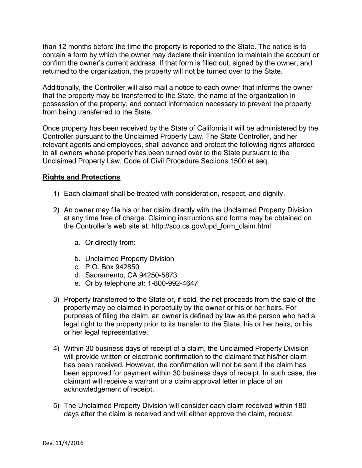than 12 months before the time the property is reported to the State. The notice is to contain a form by which the owner may declare their intention to maintain the account or confirm the owner's current address. If that form is filled out, signed by the owner, and returned to the organization, the property will not be turned over to the State.

Additionally, the Controller will also mail a notice to each owner that informs the owner that the property may be transferred to the State, the name of the organization in possession of the property, and contact information necessary to prevent the property from being transferred to the State.

Once property has been received by the State of California it will be administered by the Controller pursuant to the Unclaimed Property Law. The State Controller, and her relevant agents and employees, shall advance and protect the following rights afforded to all owners whose property has been turned over to the State pursuant to the Unclaimed Property Law, Code of Civil Procedure Sections 1500 et seq.

# **Rights and Protections**

- 1) Each claimant shall be treated with consideration, respect, and dignity.
- 2) An owner may file his or her claim directly with the Unclaimed Property Division at any time free of charge. Claiming instructions and forms may be obtained on the Controller's web site at: http://sco.ca.gov/upd\_form\_claim.html
	- a. Or directly from:
	- b. Unclaimed Property Division
	- c. P.O. Box 942850
	- d. Sacramento, CA 94250-5873
	- e. Or by telephone at: 1-800-992-4647
- 3) Property transferred to the State or, if sold, the net proceeds from the sale of the property may be claimed in perpetuity by the owner or his or her heirs. For purposes of filing the claim, an owner is defined by law as the person who had a legal right to the property prior to its transfer to the State, his or her heirs, or his or her legal representative.
- 4) Within 30 business days of receipt of a claim, the Unclaimed Property Division will provide written or electronic confirmation to the claimant that his/her claim has been received. However, the confirmation will not be sent if the claim has been approved for payment within 30 business days of receipt. In such case, the claimant will receive a warrant or a claim approval letter in place of an acknowledgement of receipt.
- 5) The Unclaimed Property Division will consider each claim received within 180 days after the claim is received and will either approve the claim, request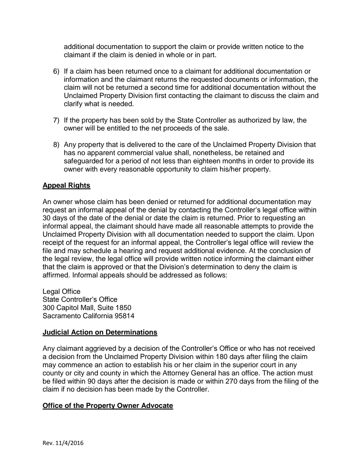additional documentation to support the claim or provide written notice to the claimant if the claim is denied in whole or in part.

- 6) If a claim has been returned once to a claimant for additional documentation or information and the claimant returns the requested documents or information, the claim will not be returned a second time for additional documentation without the Unclaimed Property Division first contacting the claimant to discuss the claim and clarify what is needed.
- 7) If the property has been sold by the State Controller as authorized by law, the owner will be entitled to the net proceeds of the sale.
- 8) Any property that is delivered to the care of the Unclaimed Property Division that has no apparent commercial value shall, nonetheless, be retained and safeguarded for a period of not less than eighteen months in order to provide its owner with every reasonable opportunity to claim his/her property.

# **Appeal Rights**

An owner whose claim has been denied or returned for additional documentation may request an informal appeal of the denial by contacting the Controller's legal office within 30 days of the date of the denial or date the claim is returned. Prior to requesting an informal appeal, the claimant should have made all reasonable attempts to provide the Unclaimed Property Division with all documentation needed to support the claim. Upon receipt of the request for an informal appeal, the Controller's legal office will review the file and may schedule a hearing and request additional evidence. At the conclusion of the legal review, the legal office will provide written notice informing the claimant either that the claim is approved or that the Division's determination to deny the claim is affirmed. Informal appeals should be addressed as follows:

Legal Office State Controller's Office 300 Capitol Mall, Suite 1850 Sacramento California 95814

### **Judicial Action on Determinations**

Any claimant aggrieved by a decision of the Controller's Office or who has not received a decision from the Unclaimed Property Division within 180 days after filing the claim may commence an action to establish his or her claim in the superior court in any county or city and county in which the Attorney General has an office. The action must be filed within 90 days after the decision is made or within 270 days from the filing of the claim if no decision has been made by the Controller.

### **Office of the Property Owner Advocate**